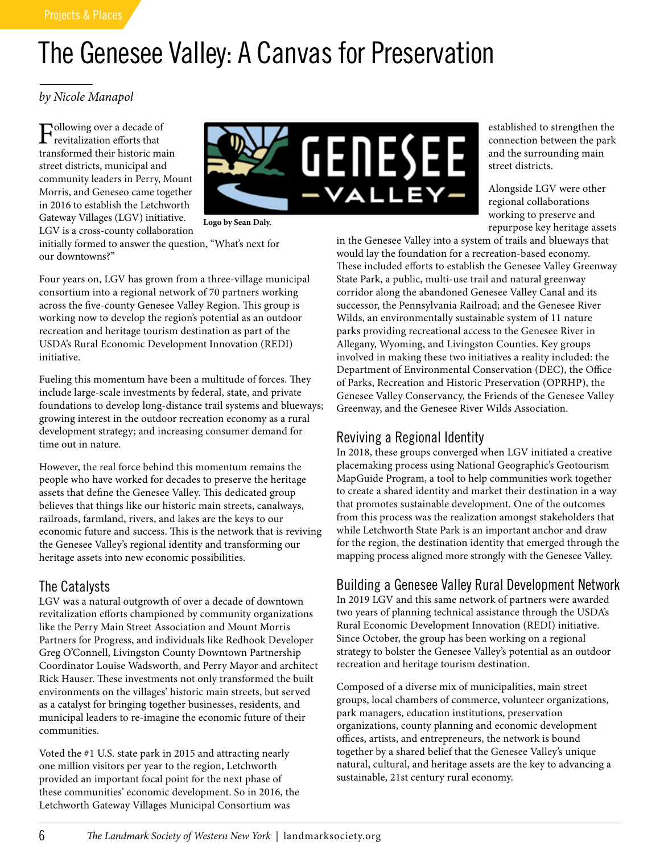# The Genesee Valley: A Canvas for Preservation

*by Nicole Manapol*

Following over a decade of revitalization efforts that transformed their historic main street districts, municipal and community leaders in Perry, Mount Morris, and Geneseo came together in 2016 to establish the Letchworth Gateway Villages (LGV) initiative. LGV is a cross-county collaboration



**Logo by Sean Daly.**

initially formed to answer the question, "What's next for our downtowns?"

Four years on, LGV has grown from a three-village municipal consortium into a regional network of 70 partners working across the five-county Genesee Valley Region. This group is working now to develop the region's potential as an outdoor recreation and heritage tourism destination as part of the USDA's Rural Economic Development Innovation (REDI) initiative.

Fueling this momentum have been a multitude of forces. They include large-scale investments by federal, state, and private foundations to develop long-distance trail systems and blueways; growing interest in the outdoor recreation economy as a rural development strategy; and increasing consumer demand for time out in nature.

However, the real force behind this momentum remains the people who have worked for decades to preserve the heritage assets that define the Genesee Valley. This dedicated group believes that things like our historic main streets, canalways, railroads, farmland, rivers, and lakes are the keys to our economic future and success. This is the network that is reviving the Genesee Valley's regional identity and transforming our heritage assets into new economic possibilities.

## The Catalysts

LGV was a natural outgrowth of over a decade of downtown revitalization efforts championed by community organizations like the Perry Main Street Association and Mount Morris Partners for Progress, and individuals like Redhook Developer Greg O'Connell, Livingston County Downtown Partnership Coordinator Louise Wadsworth, and Perry Mayor and architect Rick Hauser. These investments not only transformed the built environments on the villages' historic main streets, but served as a catalyst for bringing together businesses, residents, and municipal leaders to re-imagine the economic future of their communities.

Voted the #1 U.S. state park in 2015 and attracting nearly one million visitors per year to the region, Letchworth provided an important focal point for the next phase of these communities' economic development. So in 2016, the Letchworth Gateway Villages Municipal Consortium was

established to strengthen the connection between the park and the surrounding main street districts.

Alongside LGV were other regional collaborations working to preserve and repurpose key heritage assets

in the Genesee Valley into a system of trails and blueways that would lay the foundation for a recreation-based economy. These included efforts to establish the Genesee Valley Greenway State Park, a public, multi-use trail and natural greenway corridor along the abandoned Genesee Valley Canal and its successor, the Pennsylvania Railroad; and the Genesee River Wilds, an environmentally sustainable system of 11 nature parks providing recreational access to the Genesee River in Allegany, Wyoming, and Livingston Counties. Key groups involved in making these two initiatives a reality included: the Department of Environmental Conservation (DEC), the Office of Parks, Recreation and Historic Preservation (OPRHP), the Genesee Valley Conservancy, the Friends of the Genesee Valley Greenway, and the Genesee River Wilds Association.

# Reviving a Regional Identity

In 2018, these groups converged when LGV initiated a creative placemaking process using National Geographic's Geotourism MapGuide Program, a tool to help communities work together to create a shared identity and market their destination in a way that promotes sustainable development. One of the outcomes from this process was the realization amongst stakeholders that while Letchworth State Park is an important anchor and draw for the region, the destination identity that emerged through the mapping process aligned more strongly with the Genesee Valley.

## Building a Genesee Valley Rural Development Network

In 2019 LGV and this same network of partners were awarded two years of planning technical assistance through the USDA's Rural Economic Development Innovation (REDI) initiative. Since October, the group has been working on a regional strategy to bolster the Genesee Valley's potential as an outdoor recreation and heritage tourism destination.

Composed of a diverse mix of municipalities, main street groups, local chambers of commerce, volunteer organizations, park managers, education institutions, preservation organizations, county planning and economic development offices, artists, and entrepreneurs, the network is bound together by a shared belief that the Genesee Valley's unique natural, cultural, and heritage assets are the key to advancing a sustainable, 21st century rural economy.